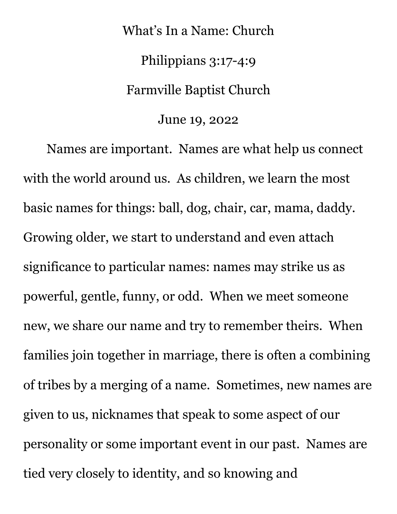## What's In a Name: Church Philippians 3:17-4:9 Farmville Baptist Church

June 19, 2022

Names are important. Names are what help us connect with the world around us. As children, we learn the most basic names for things: ball, dog, chair, car, mama, daddy. Growing older, we start to understand and even attach significance to particular names: names may strike us as powerful, gentle, funny, or odd. When we meet someone new, we share our name and try to remember theirs. When families join together in marriage, there is often a combining of tribes by a merging of a name. Sometimes, new names are given to us, nicknames that speak to some aspect of our personality or some important event in our past. Names are tied very closely to identity, and so knowing and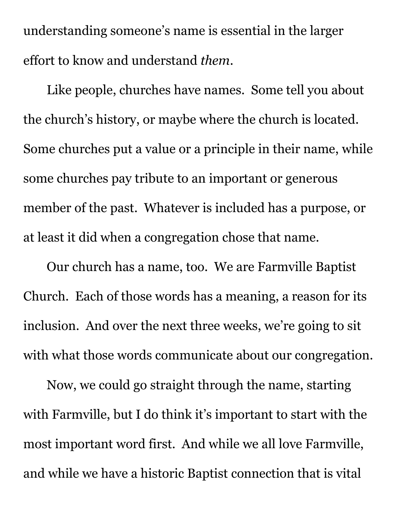understanding someone's name is essential in the larger effort to know and understand *them*.

Like people, churches have names. Some tell you about the church's history, or maybe where the church is located. Some churches put a value or a principle in their name, while some churches pay tribute to an important or generous member of the past. Whatever is included has a purpose, or at least it did when a congregation chose that name.

Our church has a name, too. We are Farmville Baptist Church. Each of those words has a meaning, a reason for its inclusion. And over the next three weeks, we're going to sit with what those words communicate about our congregation.

Now, we could go straight through the name, starting with Farmville, but I do think it's important to start with the most important word first. And while we all love Farmville, and while we have a historic Baptist connection that is vital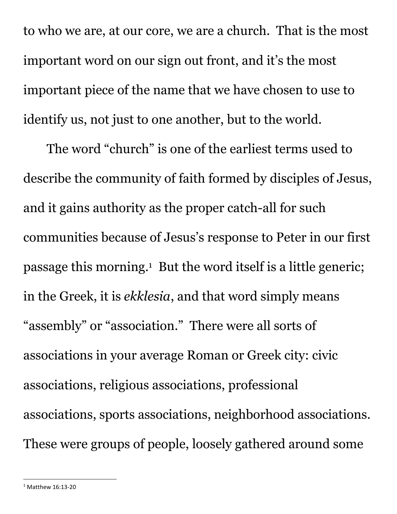to who we are, at our core, we are a church. That is the most important word on our sign out front, and it's the most important piece of the name that we have chosen to use to identify us, not just to one another, but to the world.

The word "church" is one of the earliest terms used to describe the community of faith formed by disciples of Jesus, and it gains authority as the proper catch-all for such communities because of Jesus's response to Peter in our first passage this morning.<sup>1</sup> But the word itself is a little generic; in the Greek, it is *ekklesia*, and that word simply means "assembly" or "association." There were all sorts of associations in your average Roman or Greek city: civic associations, religious associations, professional associations, sports associations, neighborhood associations. These were groups of people, loosely gathered around some

<sup>1</sup> Matthew 16:13-20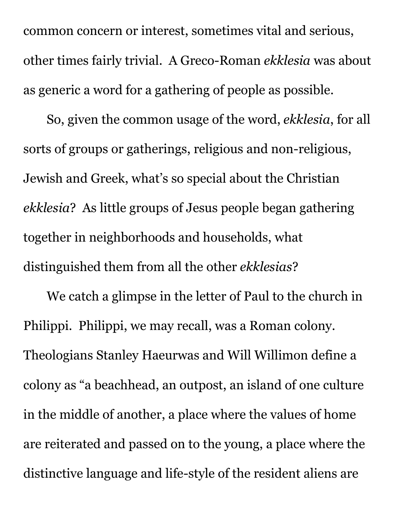common concern or interest, sometimes vital and serious, other times fairly trivial. A Greco-Roman *ekklesia* was about as generic a word for a gathering of people as possible.

So, given the common usage of the word, *ekklesia*, for all sorts of groups or gatherings, religious and non-religious, Jewish and Greek, what's so special about the Christian *ekklesia*? As little groups of Jesus people began gathering together in neighborhoods and households, what distinguished them from all the other *ekklesias*?

We catch a glimpse in the letter of Paul to the church in Philippi. Philippi, we may recall, was a Roman colony. Theologians Stanley Haeurwas and Will Willimon define a colony as "a beachhead, an outpost, an island of one culture in the middle of another, a place where the values of home are reiterated and passed on to the young, a place where the distinctive language and life-style of the resident aliens are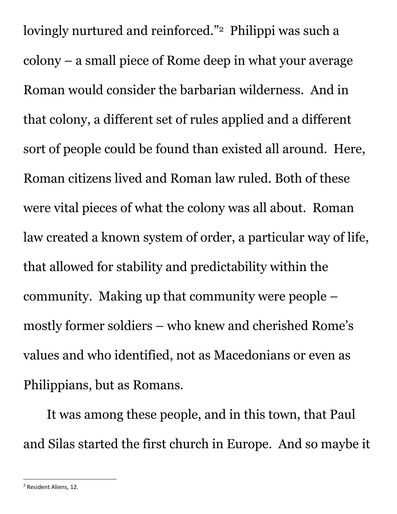lovingly nurtured and reinforced."<sup>2</sup> Philippi was such a colony – a small piece of Rome deep in what your average Roman would consider the barbarian wilderness. And in that colony, a different set of rules applied and a different sort of people could be found than existed all around. Here, Roman citizens lived and Roman law ruled. Both of these were vital pieces of what the colony was all about. Roman law created a known system of order, a particular way of life, that allowed for stability and predictability within the community. Making up that community were people – mostly former soldiers – who knew and cherished Rome's values and who identified, not as Macedonians or even as Philippians, but as Romans.

It was among these people, and in this town, that Paul and Silas started the first church in Europe. And so maybe it

<sup>2</sup> Resident Aliens, 12.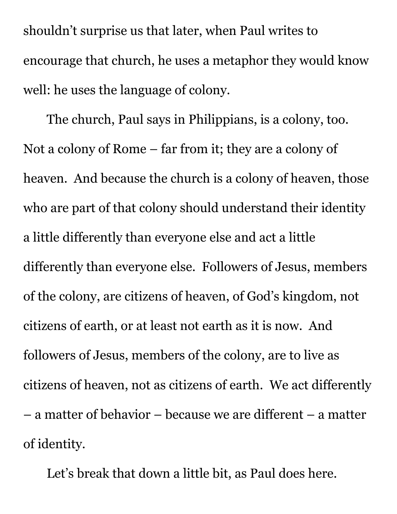shouldn't surprise us that later, when Paul writes to encourage that church, he uses a metaphor they would know well: he uses the language of colony.

The church, Paul says in Philippians, is a colony, too. Not a colony of Rome – far from it; they are a colony of heaven. And because the church is a colony of heaven, those who are part of that colony should understand their identity a little differently than everyone else and act a little differently than everyone else. Followers of Jesus, members of the colony, are citizens of heaven, of God's kingdom, not citizens of earth, or at least not earth as it is now. And followers of Jesus, members of the colony, are to live as citizens of heaven, not as citizens of earth. We act differently – a matter of behavior – because we are different – a matter of identity.

Let's break that down a little bit, as Paul does here.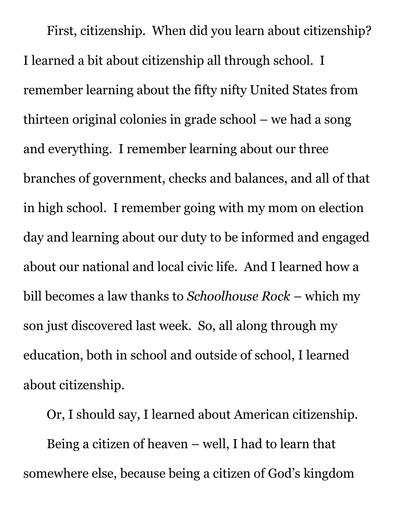First, citizenship. When did you learn about citizenship? I learned a bit about citizenship all through school. I remember learning about the fifty nifty United States from thirteen original colonies in grade school – we had a song and everything. I remember learning about our three branches of government, checks and balances, and all of that in high school. I remember going with my mom on election day and learning about our duty to be informed and engaged about our national and local civic life. And I learned how a bill becomes a law thanks to *Schoolhouse Rock* – which my son just discovered last week. So, all along through my education, both in school and outside of school, I learned about citizenship.

Or, I should say, I learned about American citizenship. Being a citizen of heaven – well, I had to learn that somewhere else, because being a citizen of God's kingdom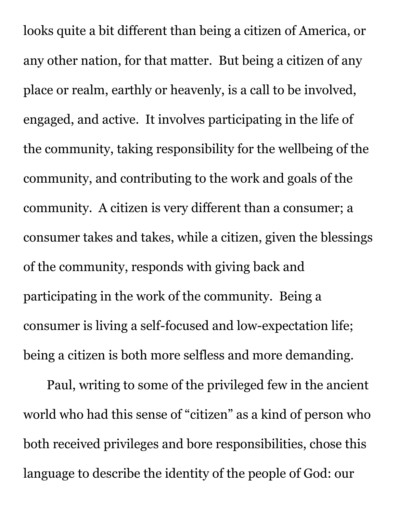looks quite a bit different than being a citizen of America, or any other nation, for that matter. But being a citizen of any place or realm, earthly or heavenly, is a call to be involved, engaged, and active. It involves participating in the life of the community, taking responsibility for the wellbeing of the community, and contributing to the work and goals of the community. A citizen is very different than a consumer; a consumer takes and takes, while a citizen, given the blessings of the community, responds with giving back and participating in the work of the community. Being a consumer is living a self-focused and low-expectation life; being a citizen is both more selfless and more demanding.

Paul, writing to some of the privileged few in the ancient world who had this sense of "citizen" as a kind of person who both received privileges and bore responsibilities, chose this language to describe the identity of the people of God: our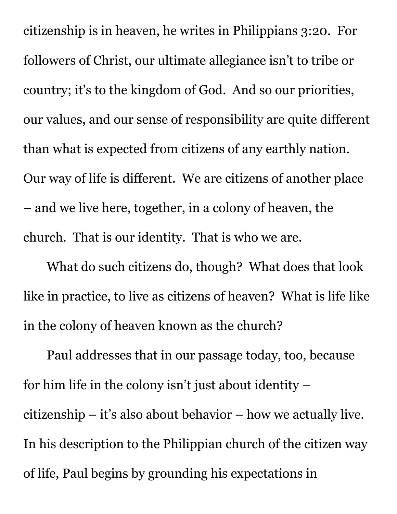citizenship is in heaven, he writes in Philippians 3:20. For followers of Christ, our ultimate allegiance isn't to tribe or country; it's to the kingdom of God. And so our priorities, our values, and our sense of responsibility are quite different than what is expected from citizens of any earthly nation. Our way of life is different. We are citizens of another place – and we live here, together, in a colony of heaven, the church. That is our identity. That is who we are.

What do such citizens do, though? What does that look like in practice, to live as citizens of heaven? What is life like in the colony of heaven known as the church?

Paul addresses that in our passage today, too, because for him life in the colony isn't just about identity – citizenship – it's also about behavior – how we actually live. In his description to the Philippian church of the citizen way of life, Paul begins by grounding his expectations in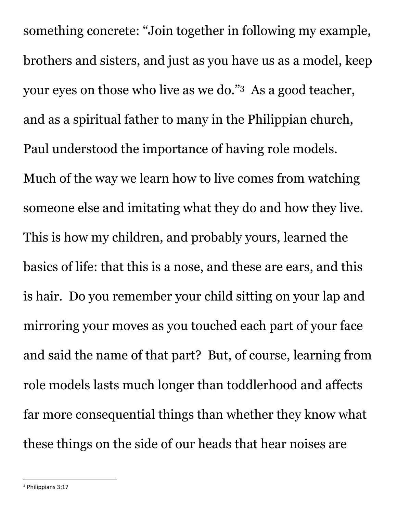something concrete: "Join together in following my example, brothers and sisters, and just as you have us as a model, keep your eyes on those who live as we do."<sup>3</sup> As a good teacher, and as a spiritual father to many in the Philippian church, Paul understood the importance of having role models. Much of the way we learn how to live comes from watching someone else and imitating what they do and how they live. This is how my children, and probably yours, learned the basics of life: that this is a nose, and these are ears, and this is hair. Do you remember your child sitting on your lap and mirroring your moves as you touched each part of your face and said the name of that part? But, of course, learning from role models lasts much longer than toddlerhood and affects far more consequential things than whether they know what these things on the side of our heads that hear noises are

<sup>3</sup> Philippians 3:17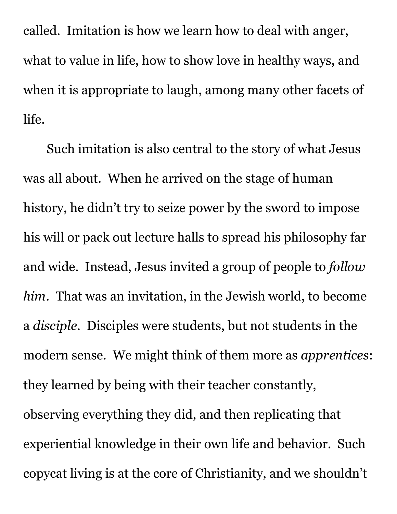called. Imitation is how we learn how to deal with anger, what to value in life, how to show love in healthy ways, and when it is appropriate to laugh, among many other facets of life.

Such imitation is also central to the story of what Jesus was all about. When he arrived on the stage of human history, he didn't try to seize power by the sword to impose his will or pack out lecture halls to spread his philosophy far and wide. Instead, Jesus invited a group of people to *follow him*. That was an invitation, in the Jewish world, to become a *disciple*. Disciples were students, but not students in the modern sense. We might think of them more as *apprentices*: they learned by being with their teacher constantly, observing everything they did, and then replicating that experiential knowledge in their own life and behavior. Such copycat living is at the core of Christianity, and we shouldn't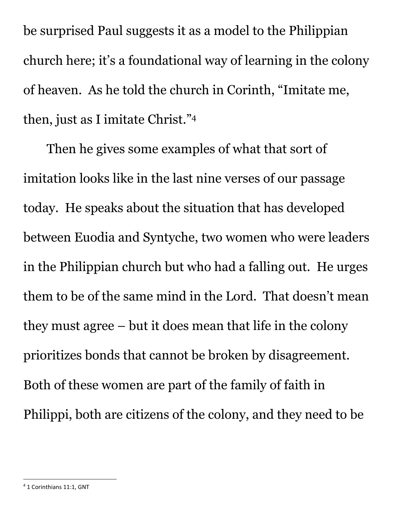be surprised Paul suggests it as a model to the Philippian church here; it's a foundational way of learning in the colony of heaven. As he told the church in Corinth, "Imitate me, then, just as I imitate Christ."<sup>4</sup>

Then he gives some examples of what that sort of imitation looks like in the last nine verses of our passage today. He speaks about the situation that has developed between Euodia and Syntyche, two women who were leaders in the Philippian church but who had a falling out. He urges them to be of the same mind in the Lord. That doesn't mean they must agree – but it does mean that life in the colony prioritizes bonds that cannot be broken by disagreement. Both of these women are part of the family of faith in Philippi, both are citizens of the colony, and they need to be

<sup>4</sup> 1 Corinthians 11:1, GNT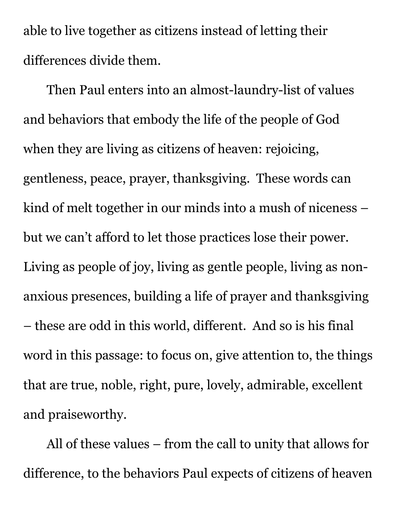able to live together as citizens instead of letting their differences divide them.

Then Paul enters into an almost-laundry-list of values and behaviors that embody the life of the people of God when they are living as citizens of heaven: rejoicing, gentleness, peace, prayer, thanksgiving. These words can kind of melt together in our minds into a mush of niceness – but we can't afford to let those practices lose their power. Living as people of joy, living as gentle people, living as nonanxious presences, building a life of prayer and thanksgiving – these are odd in this world, different. And so is his final word in this passage: to focus on, give attention to, the things that are true, noble, right, pure, lovely, admirable, excellent and praiseworthy.

All of these values – from the call to unity that allows for difference, to the behaviors Paul expects of citizens of heaven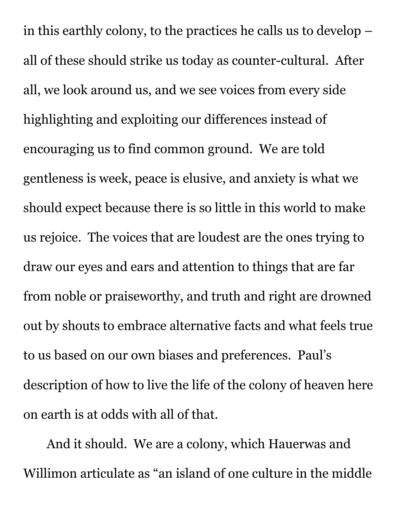in this earthly colony, to the practices he calls us to develop – all of these should strike us today as counter-cultural. After all, we look around us, and we see voices from every side highlighting and exploiting our differences instead of encouraging us to find common ground. We are told gentleness is week, peace is elusive, and anxiety is what we should expect because there is so little in this world to make us rejoice. The voices that are loudest are the ones trying to draw our eyes and ears and attention to things that are far from noble or praiseworthy, and truth and right are drowned out by shouts to embrace alternative facts and what feels true to us based on our own biases and preferences. Paul's description of how to live the life of the colony of heaven here on earth is at odds with all of that.

And it should. We are a colony, which Hauerwas and Willimon articulate as "an island of one culture in the middle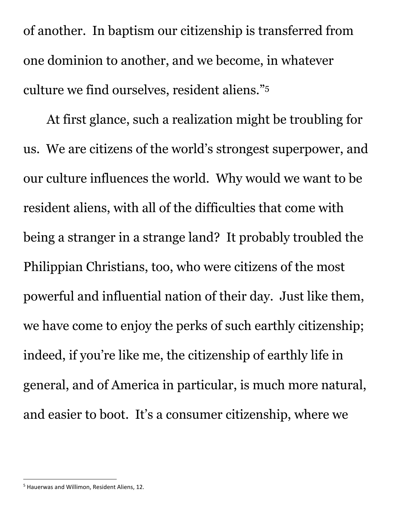of another. In baptism our citizenship is transferred from one dominion to another, and we become, in whatever culture we find ourselves, resident aliens."<sup>5</sup>

At first glance, such a realization might be troubling for us. We are citizens of the world's strongest superpower, and our culture influences the world. Why would we want to be resident aliens, with all of the difficulties that come with being a stranger in a strange land? It probably troubled the Philippian Christians, too, who were citizens of the most powerful and influential nation of their day. Just like them, we have come to enjoy the perks of such earthly citizenship; indeed, if you're like me, the citizenship of earthly life in general, and of America in particular, is much more natural, and easier to boot. It's a consumer citizenship, where we

<sup>5</sup> Hauerwas and Willimon, Resident Aliens, 12.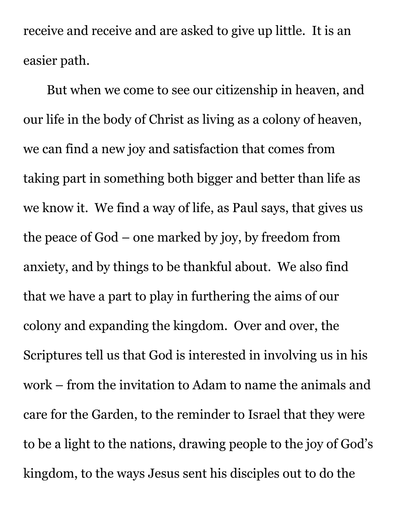receive and receive and are asked to give up little. It is an easier path.

But when we come to see our citizenship in heaven, and our life in the body of Christ as living as a colony of heaven, we can find a new joy and satisfaction that comes from taking part in something both bigger and better than life as we know it. We find a way of life, as Paul says, that gives us the peace of God – one marked by joy, by freedom from anxiety, and by things to be thankful about. We also find that we have a part to play in furthering the aims of our colony and expanding the kingdom. Over and over, the Scriptures tell us that God is interested in involving us in his work – from the invitation to Adam to name the animals and care for the Garden, to the reminder to Israel that they were to be a light to the nations, drawing people to the joy of God's kingdom, to the ways Jesus sent his disciples out to do the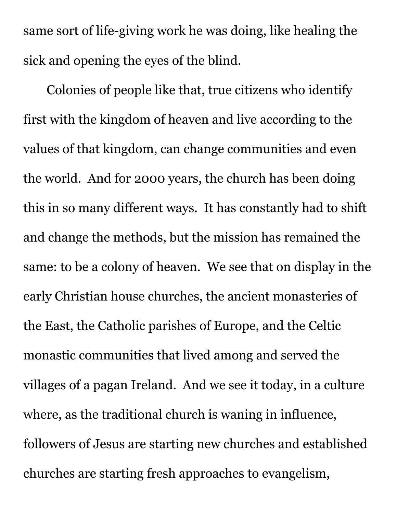same sort of life-giving work he was doing, like healing the sick and opening the eyes of the blind.

Colonies of people like that, true citizens who identify first with the kingdom of heaven and live according to the values of that kingdom, can change communities and even the world. And for 2000 years, the church has been doing this in so many different ways. It has constantly had to shift and change the methods, but the mission has remained the same: to be a colony of heaven. We see that on display in the early Christian house churches, the ancient monasteries of the East, the Catholic parishes of Europe, and the Celtic monastic communities that lived among and served the villages of a pagan Ireland. And we see it today, in a culture where, as the traditional church is waning in influence, followers of Jesus are starting new churches and established churches are starting fresh approaches to evangelism,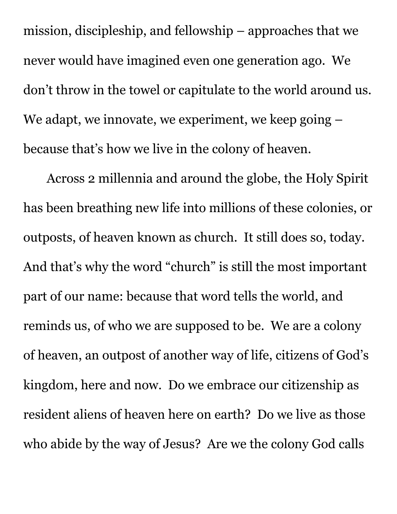mission, discipleship, and fellowship – approaches that we never would have imagined even one generation ago. We don't throw in the towel or capitulate to the world around us. We adapt, we innovate, we experiment, we keep going  $$ because that's how we live in the colony of heaven.

Across 2 millennia and around the globe, the Holy Spirit has been breathing new life into millions of these colonies, or outposts, of heaven known as church. It still does so, today. And that's why the word "church" is still the most important part of our name: because that word tells the world, and reminds us, of who we are supposed to be. We are a colony of heaven, an outpost of another way of life, citizens of God's kingdom, here and now. Do we embrace our citizenship as resident aliens of heaven here on earth? Do we live as those who abide by the way of Jesus? Are we the colony God calls